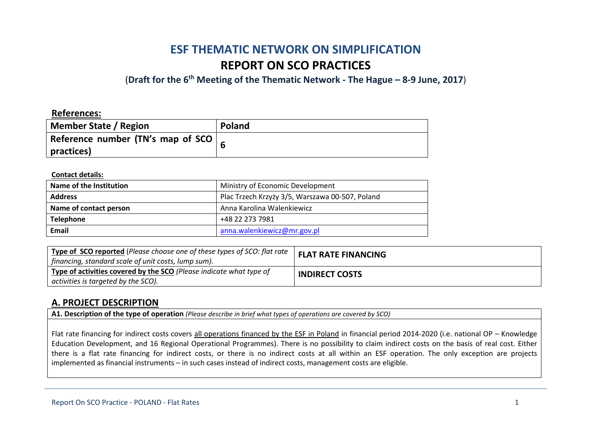# **ESF THEMATIC NETWORK ON SIMPLIFICATION REPORT ON SCO PRACTICES**

(**Draft for the 6th Meeting of the Thematic Network - The Hague – 8-9 June, 2017**)

### **References:**

| Member State / Region                             | Poland |
|---------------------------------------------------|--------|
| Reference number (TN's map of SCO $\vert$ $\vert$ |        |
| practices)                                        |        |

#### **Contact details:**

| Name of the Institution | Ministry of Economic Development                |
|-------------------------|-------------------------------------------------|
| <b>Address</b>          | Plac Trzech Krzyży 3/5, Warszawa 00-507, Poland |
| Name of contact person  | Anna Karolina Walenkiewicz                      |
| <b>Telephone</b>        | +48 22 273 7981                                 |
| Email                   | anna.walenkiewicz@mr.gov.pl                     |

| <b>Type of SCO reported</b> (Please choose one of these types of SCO: flat rate $\ $<br>financing, standard scale of unit costs, lump sum). | <b>FLAT RATE FINANCING</b> |
|---------------------------------------------------------------------------------------------------------------------------------------------|----------------------------|
| Type of activities covered by the SCO (Please indicate what type of<br>activities is targeted by the SCO).                                  | <b>INDIRECT COSTS</b>      |

### **A. PROJECT DESCRIPTION**

**A1. Description of the type of operation** *(Please describe in brief what types of operations are covered by SCO)*

Flat rate financing for indirect costs covers all operations financed by the ESF in Poland in financial period 2014-2020 (i.e. national OP – Knowledge Education Development, and 16 Regional Operational Programmes). There is no possibility to claim indirect costs on the basis of real cost. Either there is a flat rate financing for indirect costs, or there is no indirect costs at all within an ESF operation. The only exception are projects implemented as financial instruments – in such cases instead of indirect costs, management costs are eligible.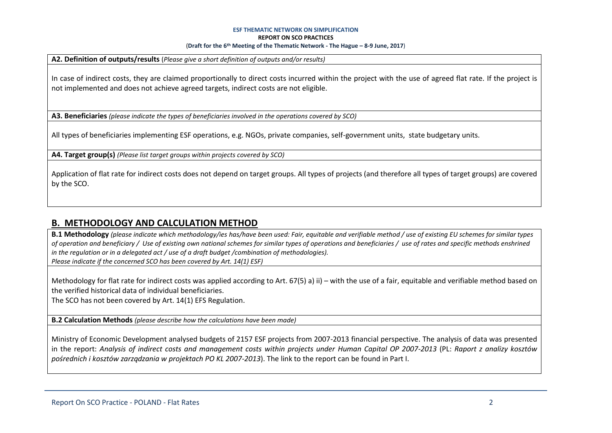**A2. Definition of outputs/results** (*Please give a short definition of outputs and/or results)*

In case of indirect costs, they are claimed proportionally to direct costs incurred within the project with the use of agreed flat rate. If the project is not implemented and does not achieve agreed targets, indirect costs are not eligible.

**A3. Beneficiaries** *(please indicate the types of beneficiaries involved in the operations covered by SCO)*

All types of beneficiaries implementing ESF operations, e.g. NGOs, private companies, self-government units, state budgetary units.

**A4. Target group(s)** *(Please list target groups within projects covered by SCO)*

Application of flat rate for indirect costs does not depend on target groups. All types of projects (and therefore all types of target groups) are covered by the SCO.

### **B. METHODOLOGY AND CALCULATION METHOD**

**B.1 Methodology** *(please indicate which methodology/ies has/have been used: Fair, equitable and verifiable method / use of existing EU schemes for similar types of operation and beneficiary / Use of existing own national schemes for similar types of operations and beneficiaries / use of rates and specific methods enshrined in the regulation or in a delegated act / use of a draft budget /combination of methodologies). Please indicate if the concerned SCO has been covered by Art. 14(1) ESF)*

Methodology for flat rate for indirect costs was applied according to Art. 67(5) a) ii) – with the use of a fair, equitable and verifiable method based on the verified historical data of individual beneficiaries.

The SCO has not been covered by Art. 14(1) EFS Regulation.

**B.2 Calculation Methods** *(please describe how the calculations have been made)*

Ministry of Economic Development analysed budgets of 2157 ESF projects from 2007-2013 financial perspective. The analysis of data was presented in the report: *Analysis of indirect costs and management costs within projects under Human Capital OP 2007-2013* (PL: *Raport z analizy kosztów pośrednich i kosztów zarządzania w projektach PO KL 2007-2013*). The link to the report can be found in Part I.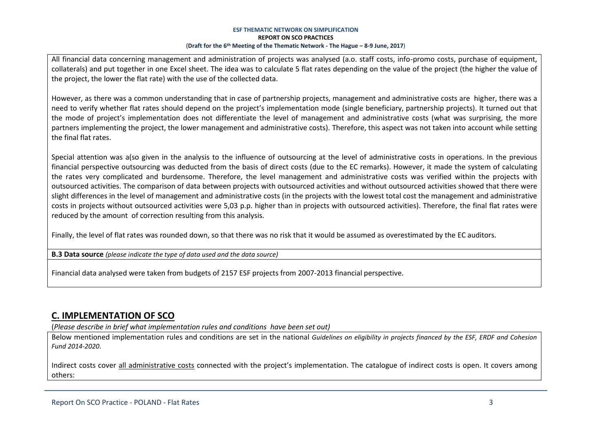All financial data concerning management and administration of projects was analysed (a.o. staff costs, info-promo costs, purchase of equipment, collaterals) and put together in one Excel sheet. The idea was to calculate 5 flat rates depending on the value of the project (the higher the value of the project, the lower the flat rate) with the use of the collected data.

However, as there was a common understanding that in case of partnership projects, management and administrative costs are higher, there was a need to verify whether flat rates should depend on the project's implementation mode (single beneficiary, partnership projects). It turned out that the mode of project's implementation does not differentiate the level of management and administrative costs (what was surprising, the more partners implementing the project, the lower management and administrative costs). Therefore, this aspect was not taken into account while setting the final flat rates.

Special attention was a(so given in the analysis to the influence of outsourcing at the level of administrative costs in operations. In the previous financial perspective outsourcing was deducted from the basis of direct costs (due to the EC remarks). However, it made the system of calculating the rates very complicated and burdensome. Therefore, the level management and administrative costs was verified within the projects with outsourced activities. The comparison of data between projects with outsourced activities and without outsourced activities showed that there were slight differences in the level of management and administrative costs (in the projects with the lowest total cost the management and administrative costs in projects without outsourced activities were 5,03 p.p. higher than in projects with outsourced activities). Therefore, the final flat rates were reduced by the amount of correction resulting from this analysis.

Finally, the level of flat rates was rounded down, so that there was no risk that it would be assumed as overestimated by the EC auditors.

**B.3 Data source** *(please indicate the type of data used and the data source)*

Financial data analysed were taken from budgets of 2157 ESF projects from 2007-2013 financial perspective.

# **C. IMPLEMENTATION OF SCO**

(*Please describe in brief what implementation rules and conditions have been set out)*

Below mentioned implementation rules and conditions are set in the national *Guidelines on eligibility in projects financed by the ESF, ERDF and Cohesion Fund 2014-2020*.

Indirect costs cover all administrative costs connected with the project's implementation. The catalogue of indirect costs is open. It covers among others: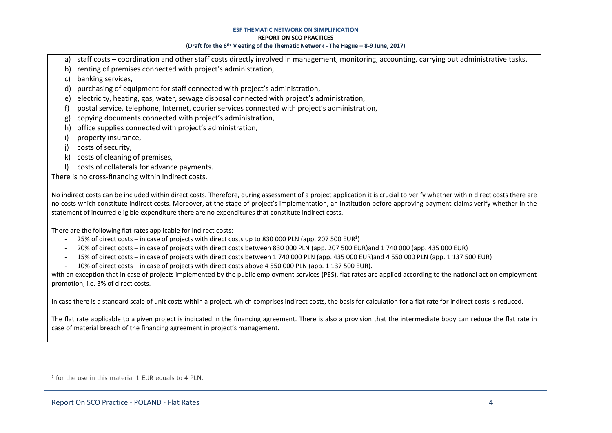- a) staff costs coordination and other staff costs directly involved in management, monitoring, accounting, carrying out administrative tasks,
- b) renting of premises connected with project's administration,
- c) banking services,
- d) purchasing of equipment for staff connected with project's administration,
- e) electricity, heating, gas, water, sewage disposal connected with project's administration,
- f) postal service, telephone, Internet, courier services connected with project's administration,
- g) copying documents connected with project's administration,
- h) office supplies connected with project's administration,
- i) property insurance,
- j) costs of security,
- k) costs of cleaning of premises,
- l) costs of collaterals for advance payments.

There is no cross-financing within indirect costs.

No indirect costs can be included within direct costs. Therefore, during assessment of a project application it is crucial to verify whether within direct costs there are no costs which constitute indirect costs. Moreover, at the stage of project's implementation, an institution before approving payment claims verify whether in the statement of incurred eligible expenditure there are no expenditures that constitute indirect costs.

There are the following flat rates applicable for indirect costs:

- $-$  25% of direct costs in case of projects with direct costs up to 830 000 PLN (app. 207 500 EUR<sup>1</sup>)
- 20% of direct costs in case of projects with direct costs between 830 000 PLN (app. 207 500 EUR)and 1 740 000 (app. 435 000 EUR)
- 15% of direct costs in case of projects with direct costs between 1 740 000 PLN (app. 435 000 EUR)and 4 550 000 PLN (app. 1 137 500 EUR)
- 10% of direct costs in case of projects with direct costs above 4 550 000 PLN (app. 1 137 500 EUR).

with an exception that in case of projects implemented by the public employment services (PES), flat rates are applied according to the national act on employment promotion, i.e. 3% of direct costs.

In case there is a standard scale of unit costs within a project, which comprises indirect costs, the basis for calculation for a flat rate for indirect costs is reduced.

The flat rate applicable to a given project is indicated in the financing agreement. There is also a provision that the intermediate body can reduce the flat rate in case of material breach of the financing agreement in project's management.

 $\overline{a}$ <sup>1</sup> for the use in this material 1 EUR equals to 4 PLN.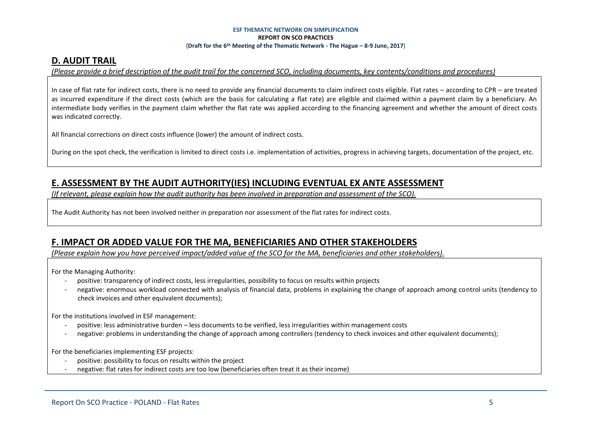### **D. AUDIT TRAIL**

*(Please provide a brief description of the audit trail for the concerned SCO, including documents, key contents/conditions and procedures)*

In case of flat rate for indirect costs, there is no need to provide any financial documents to claim indirect costs eligible. Flat rates – according to CPR – are treated as incurred expenditure if the direct costs (which are the basis for calculating a flat rate) are eligible and claimed within a payment claim by a beneficiary. An intermediate body verifies in the payment claim whether the flat rate was applied according to the financing agreement and whether the amount of direct costs was indicated correctly.

All financial corrections on direct costs influence (lower) the amount of indirect costs.

During on the spot check, the verification is limited to direct costs i.e. implementation of activities, progress in achieving targets, documentation of the project, etc.

# **E. ASSESSMENT BY THE AUDIT AUTHORITY(IES) INCLUDING EVENTUAL EX ANTE ASSESSMENT**

*(If relevant, please explain how the audit authority has been involved in preparation and assessment of the SCO).* 

The Audit Authority has not been involved neither in preparation nor assessment of the flat rates for indirect costs.

### **F. IMPACT OR ADDED VALUE FOR THE MA, BENEFICIARIES AND OTHER STAKEHOLDERS**

*(Please explain how you have perceived impact/added value of the SCO for the MA, beneficiaries and other stakeholders).* 

For the Managing Authority:

- positive: transparency of indirect costs, less irregularities, possibility to focus on results within projects
- negative: enormous workload connected with analysis of financial data, problems in explaining the change of approach among control units (tendency to check invoices and other equivalent documents);

For the institutions involved in ESF management:

- positive: less administrative burden less documents to be verified, less irregularities within management costs
- negative: problems in understanding the change of approach among controllers (tendency to check invoices and other equivalent documents);

For the beneficiaries implementing ESF projects:

- positive: possibility to focus on results within the project
- negative: flat rates for indirect costs are too low (beneficiaries often treat it as their income)